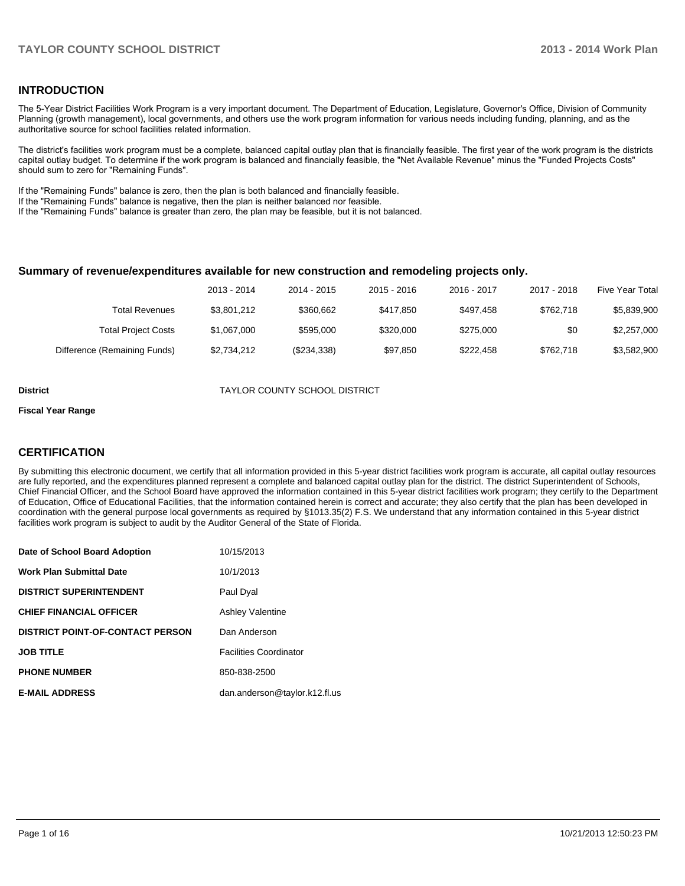### **INTRODUCTION**

The 5-Year District Facilities Work Program is a very important document. The Department of Education, Legislature, Governor's Office, Division of Community Planning (growth management), local governments, and others use the work program information for various needs including funding, planning, and as the authoritative source for school facilities related information.

The district's facilities work program must be a complete, balanced capital outlay plan that is financially feasible. The first year of the work program is the districts capital outlay budget. To determine if the work program is balanced and financially feasible, the "Net Available Revenue" minus the "Funded Projects Costs" should sum to zero for "Remaining Funds".

If the "Remaining Funds" balance is zero, then the plan is both balanced and financially feasible.

If the "Remaining Funds" balance is negative, then the plan is neither balanced nor feasible.

If the "Remaining Funds" balance is greater than zero, the plan may be feasible, but it is not balanced.

### **Summary of revenue/expenditures available for new construction and remodeling projects only.**

| <b>Five Year Total</b> | 2017 - 2018 | 2016 - 2017 | $2015 - 2016$ | 2014 - 2015 | 2013 - 2014 |                              |
|------------------------|-------------|-------------|---------------|-------------|-------------|------------------------------|
| \$5,839,900            | \$762.718   | \$497.458   | \$417.850     | \$360.662   | \$3.801.212 | Total Revenues               |
| \$2,257,000            | \$0         | \$275,000   | \$320,000     | \$595,000   | \$1.067.000 | <b>Total Project Costs</b>   |
| \$3,582,900            | \$762.718   | \$222.458   | \$97.850      | (\$234,338) | \$2.734.212 | Difference (Remaining Funds) |

**District** TAYLOR COUNTY SCHOOL DISTRICT

#### **Fiscal Year Range**

### **CERTIFICATION**

By submitting this electronic document, we certify that all information provided in this 5-year district facilities work program is accurate, all capital outlay resources are fully reported, and the expenditures planned represent a complete and balanced capital outlay plan for the district. The district Superintendent of Schools, Chief Financial Officer, and the School Board have approved the information contained in this 5-year district facilities work program; they certify to the Department of Education, Office of Educational Facilities, that the information contained herein is correct and accurate; they also certify that the plan has been developed in coordination with the general purpose local governments as required by §1013.35(2) F.S. We understand that any information contained in this 5-year district facilities work program is subject to audit by the Auditor General of the State of Florida.

| Date of School Board Adoption           | 10/15/2013                    |
|-----------------------------------------|-------------------------------|
| <b>Work Plan Submittal Date</b>         | 10/1/2013                     |
| <b>DISTRICT SUPERINTENDENT</b>          | Paul Dyal                     |
| <b>CHIEF FINANCIAL OFFICER</b>          | <b>Ashley Valentine</b>       |
| <b>DISTRICT POINT-OF-CONTACT PERSON</b> | Dan Anderson                  |
| <b>JOB TITLE</b>                        | <b>Facilities Coordinator</b> |
| <b>PHONE NUMBER</b>                     | 850-838-2500                  |
| <b>E-MAIL ADDRESS</b>                   | dan.anderson@taylor.k12.fl.us |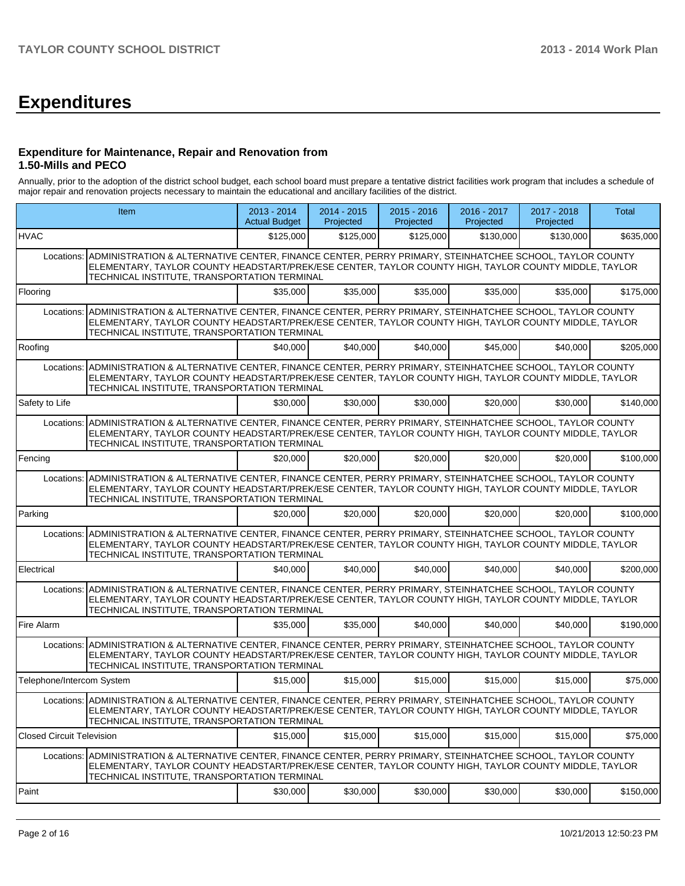# **Expenditures**

### **Expenditure for Maintenance, Repair and Renovation from 1.50-Mills and PECO**

Annually, prior to the adoption of the district school budget, each school board must prepare a tentative district facilities work program that includes a schedule of major repair and renovation projects necessary to maintain the educational and ancillary facilities of the district.

|                                                                                                                                                                                                                                                                               | Item                                                                                                                                                                                                                                                                       |           | 2014 - 2015<br>Projected | $2015 - 2016$<br>Projected | 2016 - 2017<br>Projected | 2017 - 2018<br>Projected | <b>Total</b> |  |  |
|-------------------------------------------------------------------------------------------------------------------------------------------------------------------------------------------------------------------------------------------------------------------------------|----------------------------------------------------------------------------------------------------------------------------------------------------------------------------------------------------------------------------------------------------------------------------|-----------|--------------------------|----------------------------|--------------------------|--------------------------|--------------|--|--|
| <b>HVAC</b>                                                                                                                                                                                                                                                                   |                                                                                                                                                                                                                                                                            | \$125,000 | \$125,000                | \$125,000                  | \$130,000                | \$130,000                | \$635,000    |  |  |
| Locations:                                                                                                                                                                                                                                                                    | ADMINISTRATION & ALTERNATIVE CENTER, FINANCE CENTER, PERRY PRIMARY, STEINHATCHEE SCHOOL, TAYLOR COUNTY<br>ELEMENTARY, TAYLOR COUNTY HEADSTART/PREK/ESE CENTER, TAYLOR COUNTY HIGH, TAYLOR COUNTY MIDDLE, TAYLOR<br>TECHNICAL INSTITUTE, TRANSPORTATION TERMINAL            |           |                          |                            |                          |                          |              |  |  |
| Flooring                                                                                                                                                                                                                                                                      |                                                                                                                                                                                                                                                                            | \$35,000  | \$35,000                 | \$35,000                   | \$35,000                 | \$35,000                 | \$175,000    |  |  |
| Locations:                                                                                                                                                                                                                                                                    | ADMINISTRATION & ALTERNATIVE CENTER, FINANCE CENTER, PERRY PRIMARY, STEINHATCHEE SCHOOL, TAYLOR COUNTY<br>ELEMENTARY, TAYLOR COUNTY HEADSTART/PREK/ESE CENTER, TAYLOR COUNTY HIGH, TAYLOR COUNTY MIDDLE, TAYLOR<br>TECHNICAL INSTITUTE, TRANSPORTATION TERMINAL            |           |                          |                            |                          |                          |              |  |  |
| Roofing                                                                                                                                                                                                                                                                       |                                                                                                                                                                                                                                                                            | \$40,000  | \$40,000                 | \$40,000                   | \$45,000                 | \$40,000                 | \$205,000    |  |  |
| Locations:                                                                                                                                                                                                                                                                    | ADMINISTRATION & ALTERNATIVE CENTER, FINANCE CENTER, PERRY PRIMARY, STEINHATCHEE SCHOOL, TAYLOR COUNTY<br>ELEMENTARY, TAYLOR COUNTY HEADSTART/PREK/ESE CENTER, TAYLOR COUNTY HIGH, TAYLOR COUNTY MIDDLE, TAYLOR<br>TECHNICAL INSTITUTE, TRANSPORTATION TERMINAL            |           |                          |                            |                          |                          |              |  |  |
| Safety to Life                                                                                                                                                                                                                                                                |                                                                                                                                                                                                                                                                            | \$30,000  | \$30,000                 | \$30,000                   | \$20,000                 | \$30,000                 | \$140,000    |  |  |
| Locations:                                                                                                                                                                                                                                                                    | ADMINISTRATION & ALTERNATIVE CENTER, FINANCE CENTER, PERRY PRIMARY, STEINHATCHEE SCHOOL, TAYLOR COUNTY<br>ELEMENTARY, TAYLOR COUNTY HEADSTART/PREK/ESE CENTER, TAYLOR COUNTY HIGH, TAYLOR COUNTY MIDDLE, TAYLOR<br>TECHNICAL INSTITUTE, TRANSPORTATION TERMINAL            |           |                          |                            |                          |                          |              |  |  |
| Fencing                                                                                                                                                                                                                                                                       |                                                                                                                                                                                                                                                                            | \$20,000  | \$20,000                 | \$20,000                   | \$20,000                 | \$20,000                 | \$100,000    |  |  |
| ADMINISTRATION & ALTERNATIVE CENTER, FINANCE CENTER, PERRY PRIMARY, STEINHATCHEE SCHOOL, TAYLOR COUNTY<br>Locations:<br>ELEMENTARY, TAYLOR COUNTY HEADSTART/PREK/ESE CENTER, TAYLOR COUNTY HIGH, TAYLOR COUNTY MIDDLE, TAYLOR<br>TECHNICAL INSTITUTE, TRANSPORTATION TERMINAL |                                                                                                                                                                                                                                                                            |           |                          |                            |                          |                          |              |  |  |
| Parking                                                                                                                                                                                                                                                                       |                                                                                                                                                                                                                                                                            | \$20,000  | \$20,000                 | \$20,000                   | \$20,000                 | \$20,000                 | \$100,000    |  |  |
| Locations:                                                                                                                                                                                                                                                                    | ADMINISTRATION & ALTERNATIVE CENTER, FINANCE CENTER, PERRY PRIMARY, STEINHATCHEE SCHOOL, TAYLOR COUNTY<br>ELEMENTARY, TAYLOR COUNTY HEADSTART/PREK/ESE CENTER, TAYLOR COUNTY HIGH, TAYLOR COUNTY MIDDLE, TAYLOR<br>TECHNICAL INSTITUTE, TRANSPORTATION TERMINAL            |           |                          |                            |                          |                          |              |  |  |
| Electrical                                                                                                                                                                                                                                                                    |                                                                                                                                                                                                                                                                            | \$40,000  | \$40,000                 | \$40,000                   | \$40,000                 | \$40,000                 | \$200,000    |  |  |
| Locations:                                                                                                                                                                                                                                                                    | ADMINISTRATION & ALTERNATIVE CENTER, FINANCE CENTER, PERRY PRIMARY, STEINHATCHEE SCHOOL, TAYLOR COUNTY<br>ELEMENTARY, TAYLOR COUNTY HEADSTART/PREK/ESE CENTER, TAYLOR COUNTY HIGH, TAYLOR COUNTY MIDDLE, TAYLOR<br>TECHNICAL INSTITUTE, TRANSPORTATION TERMINAL            |           |                          |                            |                          |                          |              |  |  |
| Fire Alarm                                                                                                                                                                                                                                                                    |                                                                                                                                                                                                                                                                            | \$35,000  | \$35,000                 | \$40,000                   | \$40,000                 | \$40,000                 | \$190,000    |  |  |
|                                                                                                                                                                                                                                                                               | Locations: ADMINISTRATION & ALTERNATIVE CENTER, FINANCE CENTER, PERRY PRIMARY, STEINHATCHEE SCHOOL, TAYLOR COUNTY<br>ELEMENTARY, TAYLOR COUNTY HEADSTART/PREK/ESE CENTER, TAYLOR COUNTY HIGH, TAYLOR COUNTY MIDDLE, TAYLOR<br>TECHNICAL INSTITUTE, TRANSPORTATION TERMINAL |           |                          |                            |                          |                          |              |  |  |
| Telephone/Intercom System                                                                                                                                                                                                                                                     |                                                                                                                                                                                                                                                                            | \$15,000  | \$15,000                 | \$15,000                   | \$15,000                 | \$15,000                 | \$75,000     |  |  |
|                                                                                                                                                                                                                                                                               | Locations: ADMINISTRATION & ALTERNATIVE CENTER, FINANCE CENTER, PERRY PRIMARY, STEINHATCHEE SCHOOL, TAYLOR COUNTY<br>ELEMENTARY, TAYLOR COUNTY HEADSTART/PREK/ESE CENTER, TAYLOR COUNTY HIGH, TAYLOR COUNTY MIDDLE, TAYLOR<br>TECHNICAL INSTITUTE, TRANSPORTATION TERMINAL |           |                          |                            |                          |                          |              |  |  |
| <b>Closed Circuit Television</b>                                                                                                                                                                                                                                              |                                                                                                                                                                                                                                                                            | \$15,000  | \$15,000                 | \$15,000                   | \$15,000                 | \$15,000                 | \$75,000     |  |  |
| Locations:                                                                                                                                                                                                                                                                    | ADMINISTRATION & ALTERNATIVE CENTER, FINANCE CENTER, PERRY PRIMARY, STEINHATCHEE SCHOOL, TAYLOR COUNTY<br>ELEMENTARY, TAYLOR COUNTY HEADSTART/PREK/ESE CENTER, TAYLOR COUNTY HIGH, TAYLOR COUNTY MIDDLE, TAYLOR<br>TECHNICAL INSTITUTE, TRANSPORTATION TERMINAL            |           |                          |                            |                          |                          |              |  |  |
| Paint                                                                                                                                                                                                                                                                         |                                                                                                                                                                                                                                                                            | \$30,000  | \$30,000                 | \$30,000                   | \$30,000                 | \$30,000                 | \$150,000    |  |  |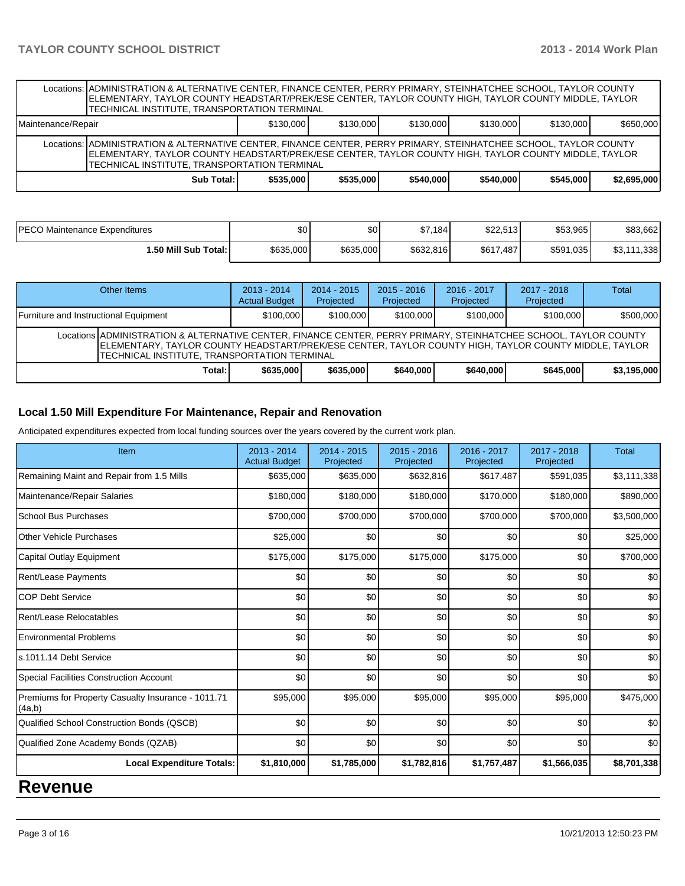|                                                                                                                                                                                                                                                                            | Locations: ADMINISTRATION & ALTERNATIVE CENTER, FINANCE CENTER, PERRY PRIMARY, STEINHATCHEE SCHOOL, TAYLOR COUNTY<br>ELEMENTARY, TAYLOR COUNTY HEADSTART/PREK/ESE CENTER, TAYLOR COUNTY HIGH, TAYLOR COUNTY MIDDLE, TAYLOR<br>TECHNICAL INSTITUTE, TRANSPORTATION TERMINAL |           |           |           |           |           |             |  |  |  |
|----------------------------------------------------------------------------------------------------------------------------------------------------------------------------------------------------------------------------------------------------------------------------|----------------------------------------------------------------------------------------------------------------------------------------------------------------------------------------------------------------------------------------------------------------------------|-----------|-----------|-----------|-----------|-----------|-------------|--|--|--|
| Maintenance/Repair                                                                                                                                                                                                                                                         | \$130,000<br>\$650,000<br>\$130,000<br>\$130,000<br>\$130,000<br>\$130,000                                                                                                                                                                                                 |           |           |           |           |           |             |  |  |  |
| Locations: ADMINISTRATION & ALTERNATIVE CENTER, FINANCE CENTER, PERRY PRIMARY, STEINHATCHEE SCHOOL, TAYLOR COUNTY<br>ELEMENTARY, TAYLOR COUNTY HEADSTART/PREK/ESE CENTER, TAYLOR COUNTY HIGH, TAYLOR COUNTY MIDDLE, TAYLOR<br>TECHNICAL INSTITUTE, TRANSPORTATION TERMINAL |                                                                                                                                                                                                                                                                            |           |           |           |           |           |             |  |  |  |
|                                                                                                                                                                                                                                                                            | Sub Total:                                                                                                                                                                                                                                                                 | \$535,000 | \$535,000 | \$540,000 | \$540,000 | \$545,000 | \$2,695,000 |  |  |  |

| IPECO Maintenance Expenditures | ሶስ<br>JU. | ሖ<br>JU.  | \$7,184   | Q22512<br><b>J</b> ZZ.3131 | \$53,965  | \$83,662                 |
|--------------------------------|-----------|-----------|-----------|----------------------------|-----------|--------------------------|
| 1.50 Mill Sub Total: İ         | \$635,000 | \$635,000 | \$632,816 | \$617.<br>.487'            | \$591,035 | .338<br>ሱሳ<br>444<br>υυ, |

| Other Items                                                                                                                                                                                                                                                                | $2013 - 2014$<br><b>Actual Budget</b> | $2014 - 2015$<br>Projected | $2015 - 2016$<br>Projected | $2016 - 2017$<br>Projected | $2017 - 2018$<br>Projected | Total       |  |  |
|----------------------------------------------------------------------------------------------------------------------------------------------------------------------------------------------------------------------------------------------------------------------------|---------------------------------------|----------------------------|----------------------------|----------------------------|----------------------------|-------------|--|--|
| Furniture and Instructional Equipment                                                                                                                                                                                                                                      | \$100,000                             | \$100,000                  | \$100,000                  | \$100,000                  | \$100,000                  | \$500,000   |  |  |
| Locations ADMINISTRATION & ALTERNATIVE CENTER, FINANCE CENTER, PERRY PRIMARY, STEINHATCHEE SCHOOL, TAYLOR COUNTY<br>IELEMENTARY. TAYLOR COUNTY HEADSTART/PREK/ESE CENTER. TAYLOR COUNTY HIGH. TAYLOR COUNTY MIDDLE. TAYLOR<br>TECHNICAL INSTITUTE. TRANSPORTATION TERMINAL |                                       |                            |                            |                            |                            |             |  |  |
| Total: I                                                                                                                                                                                                                                                                   | \$635,000                             | \$635,000                  | \$640,000                  | \$640,000                  | \$645,000                  | \$3,195,000 |  |  |

### **Local 1.50 Mill Expenditure For Maintenance, Repair and Renovation**

Anticipated expenditures expected from local funding sources over the years covered by the current work plan.

| Item                                                         | 2013 - 2014<br><b>Actual Budget</b> | $2014 - 2015$<br>Projected | $2015 - 2016$<br>Projected | 2016 - 2017<br>Projected | 2017 - 2018<br>Projected | Total       |
|--------------------------------------------------------------|-------------------------------------|----------------------------|----------------------------|--------------------------|--------------------------|-------------|
| Remaining Maint and Repair from 1.5 Mills                    | \$635,000                           | \$635,000                  | \$632,816                  | \$617,487                | \$591,035                | \$3,111,338 |
| Maintenance/Repair Salaries                                  | \$180,000                           | \$180,000                  | \$180,000                  | \$170,000                | \$180,000                | \$890,000   |
| School Bus Purchases                                         | \$700,000                           | \$700,000                  | \$700,000                  | \$700,000                | \$700,000                | \$3,500,000 |
| Other Vehicle Purchases                                      | \$25,000                            | \$0                        | \$0                        | \$0                      | \$0                      | \$25,000    |
| Capital Outlay Equipment                                     | \$175,000                           | \$175,000                  | \$175,000                  | \$175,000                | \$0                      | \$700,000   |
| Rent/Lease Payments                                          | \$0                                 | \$0                        | \$0                        | \$0                      | \$0                      | \$0         |
| <b>COP Debt Service</b>                                      | \$0                                 | \$0                        | \$0                        | \$0                      | \$0                      | \$0         |
| Rent/Lease Relocatables                                      | \$0                                 | \$0                        | \$0                        | \$0                      | \$0                      | \$0         |
| <b>Environmental Problems</b>                                | \$0                                 | \$0                        | \$0                        | \$0                      | \$0                      | \$0         |
| s.1011.14 Debt Service                                       | \$0                                 | \$0                        | \$0                        | \$0                      | \$0                      | \$0         |
| Special Facilities Construction Account                      | \$0                                 | \$0                        | \$0                        | \$0                      | \$0                      | \$0         |
| Premiums for Property Casualty Insurance - 1011.71<br>(4a,b) | \$95,000                            | \$95,000                   | \$95,000                   | \$95,000                 | \$95,000                 | \$475,000   |
| Qualified School Construction Bonds (QSCB)                   | \$0                                 | \$0                        | \$0                        | \$0                      | \$0                      | \$0         |
| Qualified Zone Academy Bonds (QZAB)                          | \$0                                 | \$0                        | \$0                        | \$0                      | \$0                      | \$0         |
| <b>Local Expenditure Totals:</b>                             | \$1,810,000                         | \$1,785,000                | \$1,782,816                | \$1,757,487              | \$1,566,035              | \$8,701,338 |

# **Revenue**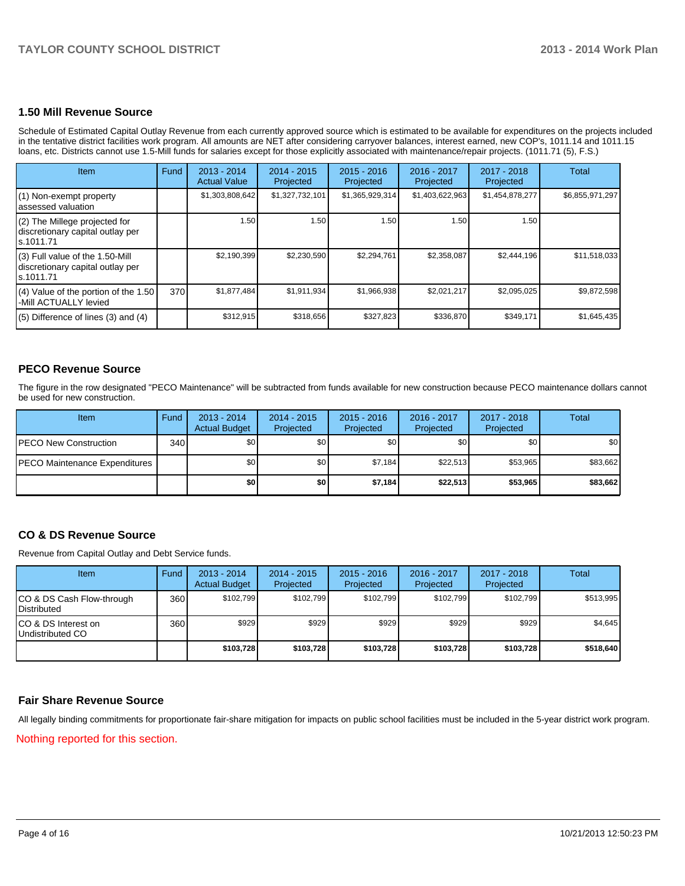### **1.50 Mill Revenue Source**

Schedule of Estimated Capital Outlay Revenue from each currently approved source which is estimated to be available for expenditures on the projects included in the tentative district facilities work program. All amounts are NET after considering carryover balances, interest earned, new COP's, 1011.14 and 1011.15 loans, etc. Districts cannot use 1.5-Mill funds for salaries except for those explicitly associated with maintenance/repair projects. (1011.71 (5), F.S.)

| Item                                                                                | Fund | $2013 - 2014$<br><b>Actual Value</b> | $2014 - 2015$<br>Projected | $2015 - 2016$<br>Projected | $2016 - 2017$<br>Projected | 2017 - 2018<br>Projected | Total           |
|-------------------------------------------------------------------------------------|------|--------------------------------------|----------------------------|----------------------------|----------------------------|--------------------------|-----------------|
| (1) Non-exempt property<br>lassessed valuation                                      |      | \$1,303,808,642                      | \$1,327,732,101            | \$1,365,929,314            | \$1,403,622,963            | \$1,454,878,277          | \$6,855,971,297 |
| $(2)$ The Millege projected for<br>discretionary capital outlay per<br>ls.1011.71   |      | 1.50                                 | 1.50                       | 1.50                       | 1.50 <sup>1</sup>          | 1.50 l                   |                 |
| $(3)$ Full value of the 1.50-Mill<br>discretionary capital outlay per<br>ls.1011.71 |      | \$2,190,399                          | \$2,230,590                | \$2,294,761                | \$2,358,087                | \$2,444,196              | \$11,518,033    |
| (4) Value of the portion of the 1.50<br>-Mill ACTUALLY levied                       | 370  | \$1,877,484                          | \$1,911,934                | \$1,966,938                | \$2,021,217                | \$2,095,025              | \$9,872,598     |
| $(5)$ Difference of lines $(3)$ and $(4)$                                           |      | \$312,915                            | \$318,656                  | \$327,823                  | \$336,870                  | \$349,171                | \$1,645,435     |

### **PECO Revenue Source**

The figure in the row designated "PECO Maintenance" will be subtracted from funds available for new construction because PECO maintenance dollars cannot be used for new construction.

| Item                                  | Fund | $2013 - 2014$<br><b>Actual Budget</b> | $2014 - 2015$<br>Projected | $2015 - 2016$<br>Projected | 2016 - 2017<br>Projected | 2017 - 2018<br>Projected | Total    |
|---------------------------------------|------|---------------------------------------|----------------------------|----------------------------|--------------------------|--------------------------|----------|
| <b>PECO New Construction</b>          | 340  | \$0 I                                 | \$0 <sub>1</sub>           | \$0                        | \$0                      | \$0 <sub>1</sub>         | \$0      |
| <b>IPECO Maintenance Expenditures</b> |      | \$O I                                 | \$0 <sub>1</sub>           | \$7,184                    | \$22.513                 | \$53.965                 | \$83,662 |
|                                       |      | \$0                                   | \$0                        | \$7,184                    | \$22,513                 | \$53,965                 | \$83,662 |

### **CO & DS Revenue Source**

Revenue from Capital Outlay and Debt Service funds.

| Item                                             | Fund | 2013 - 2014<br><b>Actual Budget</b> | $2014 - 2015$<br>Projected | $2015 - 2016$<br>Projected | 2016 - 2017<br>Projected | 2017 - 2018<br>Projected | Total     |
|--------------------------------------------------|------|-------------------------------------|----------------------------|----------------------------|--------------------------|--------------------------|-----------|
| ICO & DS Cash Flow-through<br><b>Distributed</b> | 360  | \$102.799                           | \$102.799                  | \$102.799                  | \$102.799                | \$102.799                | \$513,995 |
| ICO & DS Interest on<br>Undistributed CO         | 360  | \$929                               | \$929                      | \$929                      | \$929                    | \$929                    | \$4,645   |
|                                                  |      | \$103,728                           | \$103,728                  | \$103,728                  | \$103,728                | \$103,728                | \$518,640 |

## **Fair Share Revenue Source**

All legally binding commitments for proportionate fair-share mitigation for impacts on public school facilities must be included in the 5-year district work program.

Nothing reported for this section.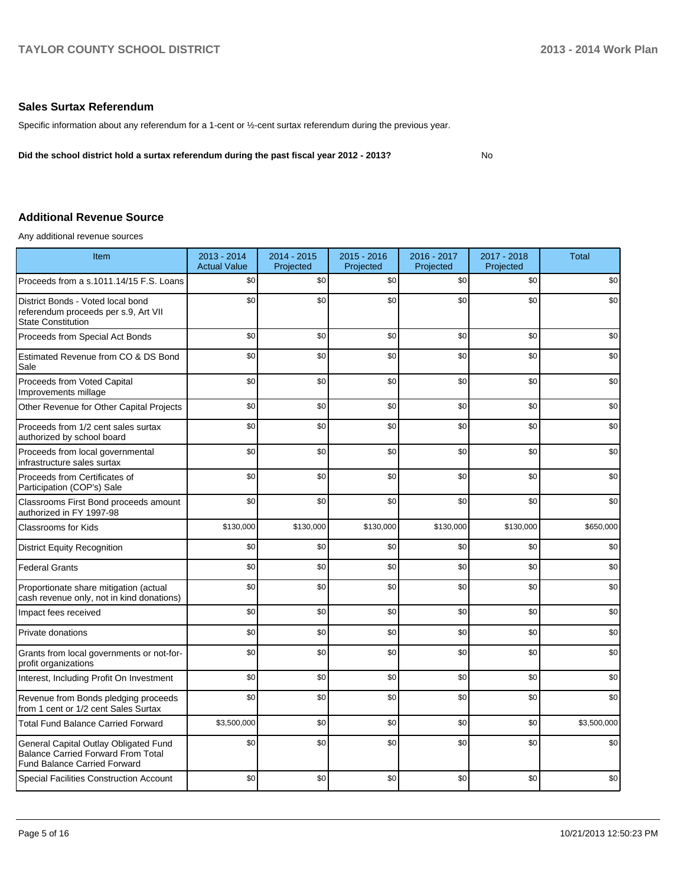### **Sales Surtax Referendum**

Specific information about any referendum for a 1-cent or ½-cent surtax referendum during the previous year.

**Did the school district hold a surtax referendum during the past fiscal year 2012 - 2013?**

No

## **Additional Revenue Source**

Any additional revenue sources

| Item                                                                                                                      | 2013 - 2014<br><b>Actual Value</b> | 2014 - 2015<br>Projected | 2015 - 2016<br>Projected | 2016 - 2017<br>Projected | 2017 - 2018<br>Projected | <b>Total</b> |
|---------------------------------------------------------------------------------------------------------------------------|------------------------------------|--------------------------|--------------------------|--------------------------|--------------------------|--------------|
| Proceeds from a s.1011.14/15 F.S. Loans                                                                                   | \$0                                | \$0                      | \$0                      | \$0                      | \$0                      | \$0          |
| District Bonds - Voted local bond<br>referendum proceeds per s.9, Art VII<br><b>State Constitution</b>                    | \$0                                | \$0                      | \$0                      | \$0                      | \$0                      | \$0          |
| Proceeds from Special Act Bonds                                                                                           | \$0                                | \$0                      | \$0                      | \$0                      | \$0                      | \$0          |
| Estimated Revenue from CO & DS Bond<br>Sale                                                                               | \$0                                | \$0                      | \$0                      | \$0                      | \$0                      | \$0          |
| Proceeds from Voted Capital<br>Improvements millage                                                                       | \$0                                | \$0                      | \$0                      | \$0                      | \$0                      | \$0          |
| Other Revenue for Other Capital Projects                                                                                  | \$0                                | \$0                      | \$0                      | \$0                      | \$0                      | \$0          |
| Proceeds from 1/2 cent sales surtax<br>authorized by school board                                                         | \$0                                | \$0                      | \$0                      | \$0                      | \$0                      | \$0          |
| Proceeds from local governmental<br>infrastructure sales surtax                                                           | \$0                                | \$0                      | \$0                      | \$0                      | \$0                      | \$0          |
| Proceeds from Certificates of<br>Participation (COP's) Sale                                                               | \$0                                | \$0                      | \$0                      | \$0                      | \$0                      | \$0          |
| Classrooms First Bond proceeds amount<br>authorized in FY 1997-98                                                         | \$0                                | \$0                      | \$0                      | \$0                      | \$0                      | \$0          |
| <b>Classrooms for Kids</b>                                                                                                | \$130,000                          | \$130,000                | \$130,000                | \$130,000                | \$130,000                | \$650,000    |
| <b>District Equity Recognition</b>                                                                                        | \$0                                | \$0                      | \$0                      | \$0                      | \$0                      | \$0          |
| <b>Federal Grants</b>                                                                                                     | \$0                                | \$0                      | \$0                      | \$0                      | \$0                      | \$0          |
| Proportionate share mitigation (actual<br>cash revenue only, not in kind donations)                                       | \$0                                | \$0                      | \$0                      | \$0                      | \$0                      | \$0          |
| Impact fees received                                                                                                      | \$0                                | \$0                      | \$0                      | \$0                      | \$0                      | \$0          |
| Private donations                                                                                                         | \$0                                | \$0                      | \$0                      | \$0                      | \$0                      | \$0          |
| Grants from local governments or not-for-<br>profit organizations                                                         | \$0                                | \$0                      | \$0                      | \$0                      | \$0                      | \$0          |
| Interest, Including Profit On Investment                                                                                  | \$0                                | \$0                      | \$0                      | \$0                      | \$0                      | \$0          |
| Revenue from Bonds pledging proceeds<br>from 1 cent or 1/2 cent Sales Surtax                                              | \$0                                | \$0                      | \$0                      | \$0                      | \$0                      | \$0          |
| <b>Total Fund Balance Carried Forward</b>                                                                                 | \$3,500,000                        | \$0                      | \$0                      | \$0                      | \$0                      | \$3,500,000  |
| General Capital Outlay Obligated Fund<br><b>Balance Carried Forward From Total</b><br><b>Fund Balance Carried Forward</b> | \$0                                | \$0                      | \$0                      | \$0                      | \$0                      | \$0          |
| <b>Special Facilities Construction Account</b>                                                                            | \$0                                | \$0                      | \$0                      | \$0                      | \$0                      | \$0          |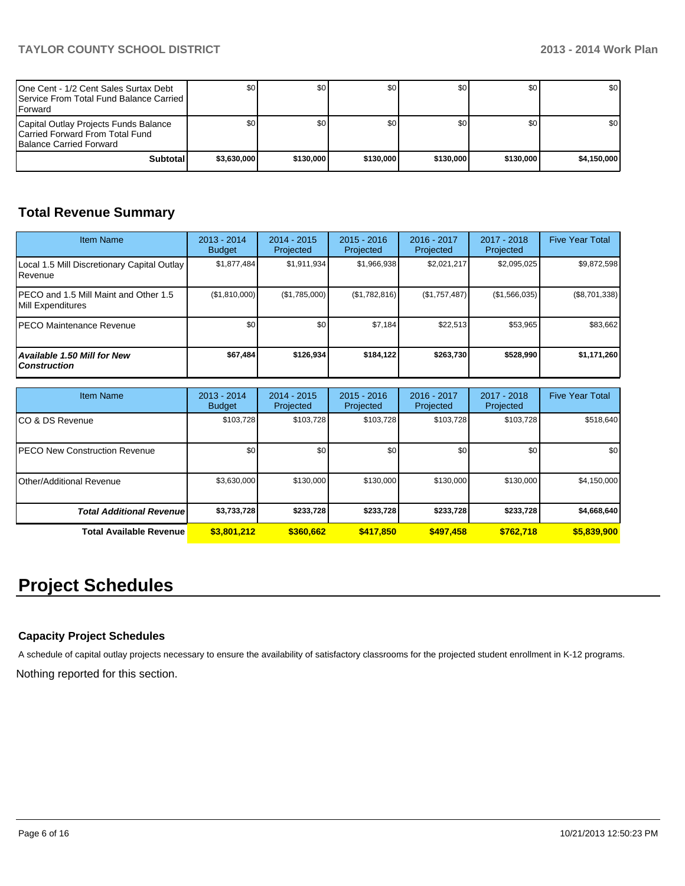| One Cent - 1/2 Cent Sales Surtax Debt<br><b>I Service From Total Fund Balance Carried I</b><br><b>IForward</b> | \$01        | \$0       | \$0       | \$0 <sub>0</sub> | \$0       | \$0 <sub>1</sub> |
|----------------------------------------------------------------------------------------------------------------|-------------|-----------|-----------|------------------|-----------|------------------|
| Capital Outlay Projects Funds Balance<br>ICarried Forward From Total Fund<br><b>Balance Carried Forward</b>    | \$0         | \$0       | \$0       | \$0 <sub>0</sub> | \$0       | \$0 <sub>1</sub> |
| Subtotal                                                                                                       | \$3.630.000 | \$130,000 | \$130,000 | \$130,000        | \$130,000 | \$4.150.000      |

# **Total Revenue Summary**

| <b>Item Name</b>                                            | $2013 - 2014$<br><b>Budget</b> | $2014 - 2015$<br>Projected | $2015 - 2016$<br>Projected | $2016 - 2017$<br>Projected | 2017 - 2018<br>Projected | <b>Five Year Total</b> |
|-------------------------------------------------------------|--------------------------------|----------------------------|----------------------------|----------------------------|--------------------------|------------------------|
| Local 1.5 Mill Discretionary Capital Outlay<br>l Revenue    | \$1.877.484                    | \$1,911,934                | \$1,966,938                | \$2,021,217                | \$2,095,025              | \$9,872,598            |
| IPECO and 1.5 Mill Maint and Other 1.5<br>Mill Expenditures | (\$1,810,000)                  | (\$1,785,000)              | (\$1,782,816)              | (\$1,757,487)              | (\$1,566,035)            | $(\$8,701,338)$        |
| IPECO Maintenance Revenue                                   | \$0 <sub>1</sub>               | \$0                        | \$7,184                    | \$22,513                   | \$53,965                 | \$83,662               |
| <b>Available 1.50 Mill for New</b><br><b>Construction</b>   | \$67,484                       | \$126,934                  | \$184.122                  | \$263.730                  | \$528,990                | \$1,171,260            |

| <b>Item Name</b>                      | 2013 - 2014<br><b>Budget</b> | $2014 - 2015$<br>Projected | $2015 - 2016$<br>Projected | 2016 - 2017<br>Projected | $2017 - 2018$<br>Projected | <b>Five Year Total</b> |
|---------------------------------------|------------------------------|----------------------------|----------------------------|--------------------------|----------------------------|------------------------|
| ICO & DS Revenue                      | \$103,728                    | \$103,728                  | \$103.728                  | \$103,728                | \$103,728                  | \$518,640              |
| <b>IPECO New Construction Revenue</b> | \$0                          | \$0                        | \$0                        | \$0                      | \$0                        | \$0                    |
| Other/Additional Revenue              | \$3,630,000                  | \$130,000                  | \$130,000                  | \$130,000                | \$130,000                  | \$4,150,000            |
| <b>Total Additional Revenuel</b>      | \$3,733,728                  | \$233,728                  | \$233,728                  | \$233,728                | \$233,728                  | \$4,668,640            |
| Total Available Revenue               | \$3,801,212                  | \$360,662                  | \$417,850                  | \$497.458                | \$762.718                  | \$5,839,900            |

# **Project Schedules**

# **Capacity Project Schedules**

A schedule of capital outlay projects necessary to ensure the availability of satisfactory classrooms for the projected student enrollment in K-12 programs.

Nothing reported for this section.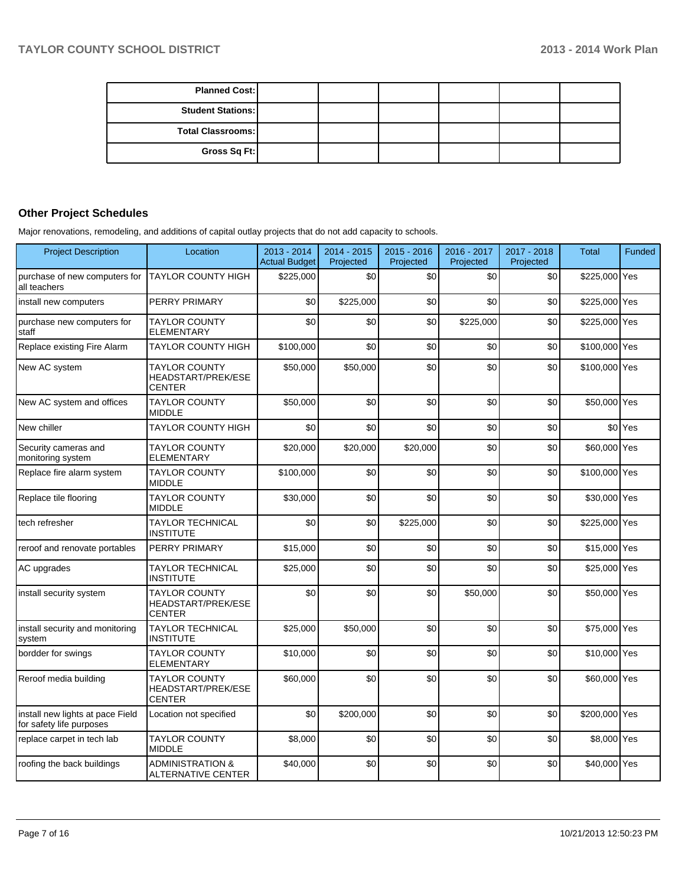| <b>Planned Cost:</b>     |  |  |  |
|--------------------------|--|--|--|
| <b>Student Stations:</b> |  |  |  |
| <b>Total Classrooms:</b> |  |  |  |
| Gross Sq Ft:             |  |  |  |

# **Other Project Schedules**

Major renovations, remodeling, and additions of capital outlay projects that do not add capacity to schools.

| <b>Project Description</b>                                   | Location                                                    | 2013 - 2014<br><b>Actual Budget</b> | 2014 - 2015<br>Projected | 2015 - 2016<br>Projected | 2016 - 2017<br>Projected | 2017 - 2018<br>Projected | <b>Total</b>  | <b>Funded</b> |
|--------------------------------------------------------------|-------------------------------------------------------------|-------------------------------------|--------------------------|--------------------------|--------------------------|--------------------------|---------------|---------------|
| purchase of new computers for<br>all teachers                | <b>TAYLOR COUNTY HIGH</b>                                   | \$225,000                           | \$0                      | \$0                      | \$0                      | \$0                      | \$225,000 Yes |               |
| install new computers                                        | PERRY PRIMARY                                               | \$0                                 | \$225,000                | \$0                      | \$0                      | \$0                      | \$225,000 Yes |               |
| purchase new computers for<br>staff                          | <b>TAYLOR COUNTY</b><br><b>ELEMENTARY</b>                   | \$0                                 | \$0                      | \$0                      | \$225,000                | \$0                      | \$225,000 Yes |               |
| Replace existing Fire Alarm                                  | <b>TAYLOR COUNTY HIGH</b>                                   | \$100,000                           | \$0                      | \$0                      | \$0                      | \$0                      | \$100,000 Yes |               |
| New AC system                                                | <b>TAYLOR COUNTY</b><br>HEADSTART/PREK/ESE<br><b>CENTER</b> | \$50,000                            | \$50,000                 | \$0                      | \$0                      | \$0                      | \$100,000 Yes |               |
| New AC system and offices                                    | <b>TAYLOR COUNTY</b><br><b>MIDDLE</b>                       | \$50,000                            | \$0                      | \$0                      | \$0                      | \$0                      | \$50,000 Yes  |               |
| New chiller                                                  | <b>TAYLOR COUNTY HIGH</b>                                   | \$0                                 | \$0                      | \$0                      | \$0                      | \$0                      |               | \$0 Yes       |
| Security cameras and<br>monitoring system                    | <b>TAYLOR COUNTY</b><br><b>ELEMENTARY</b>                   | \$20,000                            | \$20,000                 | \$20,000                 | \$0                      | \$0                      | \$60,000 Yes  |               |
| Replace fire alarm system                                    | <b>TAYLOR COUNTY</b><br><b>MIDDLE</b>                       | \$100,000                           | \$0                      | \$0                      | \$0                      | \$0                      | \$100,000 Yes |               |
| Replace tile flooring                                        | <b>TAYLOR COUNTY</b><br><b>MIDDLE</b>                       | \$30,000                            | \$0                      | \$0                      | \$0                      | \$0                      | \$30,000 Yes  |               |
| tech refresher                                               | <b>TAYLOR TECHNICAL</b><br><b>INSTITUTE</b>                 | \$0                                 | \$0                      | \$225,000                | \$0                      | \$0                      | \$225,000 Yes |               |
| reroof and renovate portables                                | PERRY PRIMARY                                               | \$15,000                            | \$0                      | \$0                      | \$0                      | \$0                      | \$15,000 Yes  |               |
| AC upgrades                                                  | <b>TAYLOR TECHNICAL</b><br><b>INSTITUTE</b>                 | \$25,000                            | \$0                      | \$0                      | \$0                      | \$0                      | \$25,000 Yes  |               |
| install security system                                      | <b>TAYLOR COUNTY</b><br>HEADSTART/PREK/ESE<br><b>CENTER</b> | \$0                                 | \$0                      | \$0                      | \$50,000                 | \$0                      | \$50,000 Yes  |               |
| install security and monitoring<br>system                    | <b>TAYLOR TECHNICAL</b><br><b>INSTITUTE</b>                 | \$25,000                            | \$50,000                 | \$0                      | \$0                      | \$0                      | \$75,000 Yes  |               |
| bordder for swings                                           | <b>TAYLOR COUNTY</b><br><b>ELEMENTARY</b>                   | \$10,000                            | \$0                      | \$0                      | \$0                      | \$0                      | \$10,000 Yes  |               |
| Reroof media building                                        | <b>TAYLOR COUNTY</b><br>HEADSTART/PREK/ESE<br><b>CENTER</b> | \$60,000                            | \$0                      | \$0                      | \$0                      | \$0                      | \$60,000 Yes  |               |
| install new lights at pace Field<br>for safety life purposes | Location not specified                                      | \$0                                 | \$200,000                | \$0                      | \$0                      | \$0                      | \$200,000 Yes |               |
| replace carpet in tech lab                                   | <b>TAYLOR COUNTY</b><br><b>MIDDLE</b>                       | \$8,000                             | \$0                      | \$0                      | \$0                      | \$0                      | \$8,000 Yes   |               |
| roofing the back buildings                                   | <b>ADMINISTRATION &amp;</b><br><b>ALTERNATIVE CENTER</b>    | \$40,000                            | \$0                      | \$0                      | \$0                      | \$0                      | \$40,000 Yes  |               |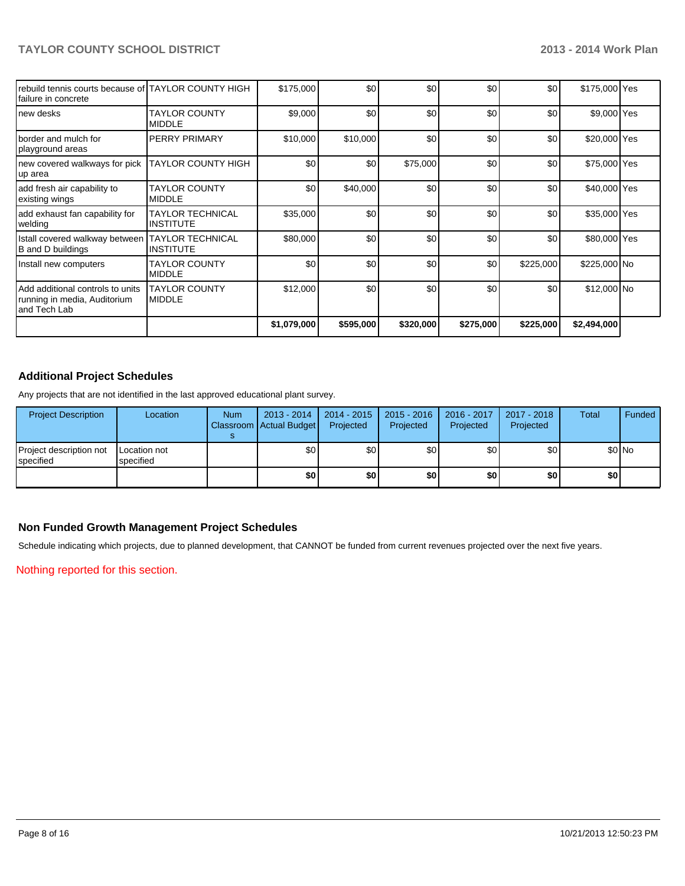| Irebuild tennis courts because of ITAYLOR COUNTY HIGH<br>Ifailure in concrete       |                                             | \$175,000   | \$0       | \$0       | \$0       | \$0       | \$175,000 Yes |  |
|-------------------------------------------------------------------------------------|---------------------------------------------|-------------|-----------|-----------|-----------|-----------|---------------|--|
| Inew desks                                                                          | <b>TAYLOR COUNTY</b><br><b>MIDDLE</b>       | \$9,000     | \$0       | \$0       | \$0       | \$0       | \$9,000 Yes   |  |
| Iborder and mulch for<br>playground areas                                           | <b>PERRY PRIMARY</b>                        | \$10,000    | \$10,000  | \$0       | \$0       | \$0       | \$20,000 Yes  |  |
| new covered walkways for pick<br>up area                                            | <b>TAYLOR COUNTY HIGH</b>                   | \$0         | \$0       | \$75,000  | \$0       | \$0       | \$75,000 Yes  |  |
| add fresh air capability to<br>existing wings                                       | <b>TAYLOR COUNTY</b><br><b>MIDDLE</b>       | \$0         | \$40,000  | \$0       | \$0       | \$0       | \$40,000 Yes  |  |
| add exhaust fan capability for<br>welding                                           | <b>TAYLOR TECHNICAL</b><br><b>INSTITUTE</b> | \$35,000    | \$0       | \$0       | \$0       | \$0       | \$35,000 Yes  |  |
| Istall covered walkway between<br>B and D buildings                                 | <b>TAYLOR TECHNICAL</b><br><b>INSTITUTE</b> | \$80,000    | \$0       | \$0       | \$0       | \$0       | \$80,000 Yes  |  |
| Install new computers                                                               | <b>TAYLOR COUNTY</b><br><b>MIDDLE</b>       | \$0         | \$0       | \$0       | \$0       | \$225,000 | \$225,000 No  |  |
| l Add additional controls to units<br>running in media, Auditorium<br>land Tech Lab | <b>TAYLOR COUNTY</b><br><b>MIDDLE</b>       | \$12,000    | \$0       | \$0       | \$0       | \$0       | \$12,000 No   |  |
|                                                                                     |                                             | \$1,079,000 | \$595,000 | \$320,000 | \$275,000 | \$225,000 | \$2,494,000   |  |

## **Additional Project Schedules**

Any projects that are not identified in the last approved educational plant survey.

| <b>Project Description</b>           | Location                         | <b>Num</b> | 2013 - 2014<br>Classroom   Actual Budget | 2014 - 2015<br>Projected | $2015 - 2016$<br>Projected | 2016 - 2017<br>Projected | 2017 - 2018<br>Projected | Total | Funded |
|--------------------------------------|----------------------------------|------------|------------------------------------------|--------------------------|----------------------------|--------------------------|--------------------------|-------|--------|
| Project description not<br>specified | <b>Location not</b><br>specified |            | \$0 <sub>1</sub>                         | \$0                      | \$0                        | \$0                      | \$0                      |       | \$0 No |
|                                      |                                  |            | \$0                                      | \$0                      | \$0                        | ا 30                     | \$0                      | \$0   |        |

## **Non Funded Growth Management Project Schedules**

Schedule indicating which projects, due to planned development, that CANNOT be funded from current revenues projected over the next five years.

Nothing reported for this section.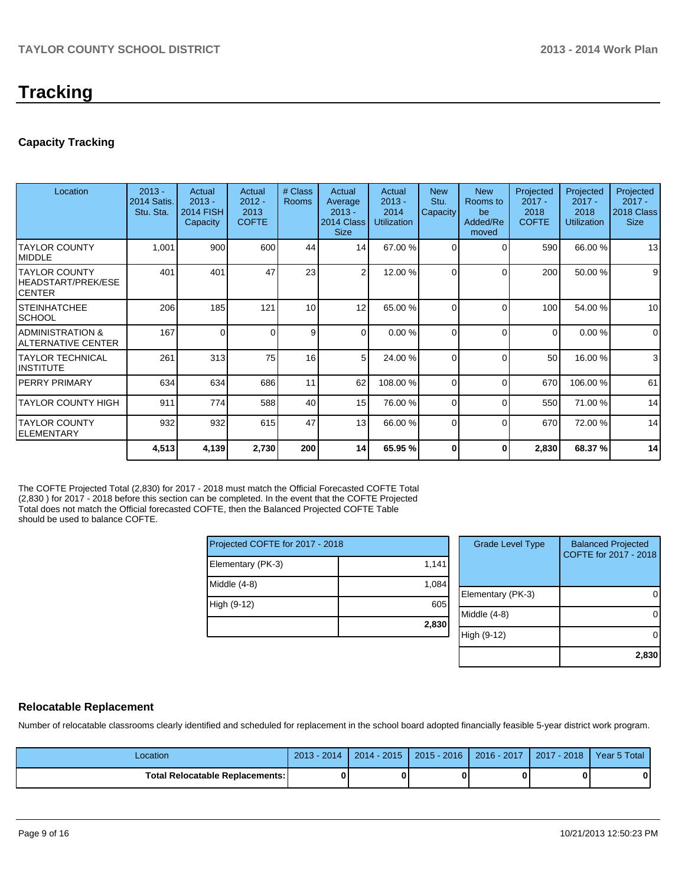# **Tracking**

## **Capacity Tracking**

| Location                                        | $2013 -$<br>2014 Satis.<br>Stu. Sta. | Actual<br>$2013 -$<br><b>2014 FISH</b><br>Capacity | Actual<br>$2012 -$<br>2013<br><b>COFTE</b> | # Class<br><b>Rooms</b> | Actual<br>Average<br>$2013 -$<br>2014 Class<br><b>Size</b> | Actual<br>$2013 -$<br>2014<br><b>Utilization</b> | <b>New</b><br>Stu.<br>Capacity | <b>New</b><br>Rooms to<br>be<br>Added/Re<br>moved | Projected<br>$2017 -$<br>2018<br><b>COFTE</b> | Projected<br>$2017 -$<br>2018<br><b>Utilization</b> | Projected<br>$2017 -$<br>2018 Class<br><b>Size</b> |
|-------------------------------------------------|--------------------------------------|----------------------------------------------------|--------------------------------------------|-------------------------|------------------------------------------------------------|--------------------------------------------------|--------------------------------|---------------------------------------------------|-----------------------------------------------|-----------------------------------------------------|----------------------------------------------------|
| ITAYLOR COUNTY<br><b>IMIDDLE</b>                | 1,001                                | 900                                                | 600                                        | 44                      | 14                                                         | 67.00 %                                          | $\Omega$                       | $\Omega$                                          | 590                                           | 66.00 %                                             | 13                                                 |
| ITAYLOR COUNTY<br>HEADSTART/PREK/ESE<br>ICENTER | 401                                  | 401                                                | 47                                         | 23                      | 2                                                          | 12.00 %                                          | $\Omega$                       | $\Omega$                                          | 200                                           | 50.00 %                                             | 9                                                  |
| ISTEINHATCHEE<br> SCHOOL                        | 206                                  | 185                                                | 121                                        | 10                      | 12                                                         | 65.00 %                                          | $\Omega$                       | $\Omega$                                          | 100 <sup>1</sup>                              | 54.00 %                                             | 10                                                 |
| IADMINISTRATION &<br>IALTERNATIVE CENTER        | 167                                  | $\Omega$                                           | 0                                          | 9                       | $\Omega$                                                   | 0.00%                                            | $\Omega$                       | $\Omega$                                          | 0                                             | 0.00%                                               | $\mathbf 0$                                        |
| ITAYLOR TECHNICAL<br>IINSTITUTE                 | 261                                  | 313                                                | 75                                         | 16                      | 51                                                         | 24.00 %                                          | $\Omega$                       | $\Omega$                                          | 50                                            | 16.00 %                                             | 3                                                  |
| IPERRY PRIMARY                                  | 634                                  | 634                                                | 686                                        | 11                      | 62                                                         | 108.00 %                                         | $\Omega$                       | $\Omega$                                          | 670                                           | 106.00 %                                            | 61                                                 |
| ITAYLOR COUNTY HIGH                             | 911                                  | 774                                                | 588                                        | 40                      | 15                                                         | 76.00 %                                          | $\Omega$                       | $\Omega$                                          | 550                                           | 71.00 %                                             | 14                                                 |
| ITAYLOR COUNTY<br><b>IELEMENTARY</b>            | 932                                  | 932                                                | 615                                        | 47                      | 13 <sup>1</sup>                                            | 66.00 %                                          | $\Omega$                       | $\Omega$                                          | 670                                           | 72.00 %                                             | 14                                                 |
|                                                 | 4,513                                | 4,139                                              | 2,730                                      | 200                     | 14                                                         | 65.95 %                                          | ŋ                              | 0                                                 | 2,830                                         | 68.37 %                                             | 14                                                 |

The COFTE Projected Total (2,830) for 2017 - 2018 must match the Official Forecasted COFTE Total (2,830 ) for 2017 - 2018 before this section can be completed. In the event that the COFTE Projected Total does not match the Official forecasted COFTE, then the Balanced Projected COFTE Table should be used to balance COFTE.

| Projected COFTE for 2017 - 2018 |       |  |  |  |  |  |
|---------------------------------|-------|--|--|--|--|--|
| Elementary (PK-3)               | 1,141 |  |  |  |  |  |
| Middle $(4-8)$                  | 1,084 |  |  |  |  |  |
| High (9-12)                     | 605   |  |  |  |  |  |
|                                 | 2,830 |  |  |  |  |  |

| <b>Grade Level Type</b> | <b>Balanced Projected</b><br>COFTE for 2017 - 2018 |
|-------------------------|----------------------------------------------------|
| Elementary (PK-3)       |                                                    |
| Middle $(4-8)$          |                                                    |
| High (9-12)             |                                                    |
|                         | 2,830                                              |

### **Relocatable Replacement**

Number of relocatable classrooms clearly identified and scheduled for replacement in the school board adopted financially feasible 5-year district work program.

| Location                          | 2014<br>$2013 -$ | $2014 - 2015$ | $2015 - 2016$ | 2016 - 2017 | $-2018$<br>2017 | Year 5 Total |
|-----------------------------------|------------------|---------------|---------------|-------------|-----------------|--------------|
| Total Relocatable Replacements: I | 0                |               |               |             |                 | 0            |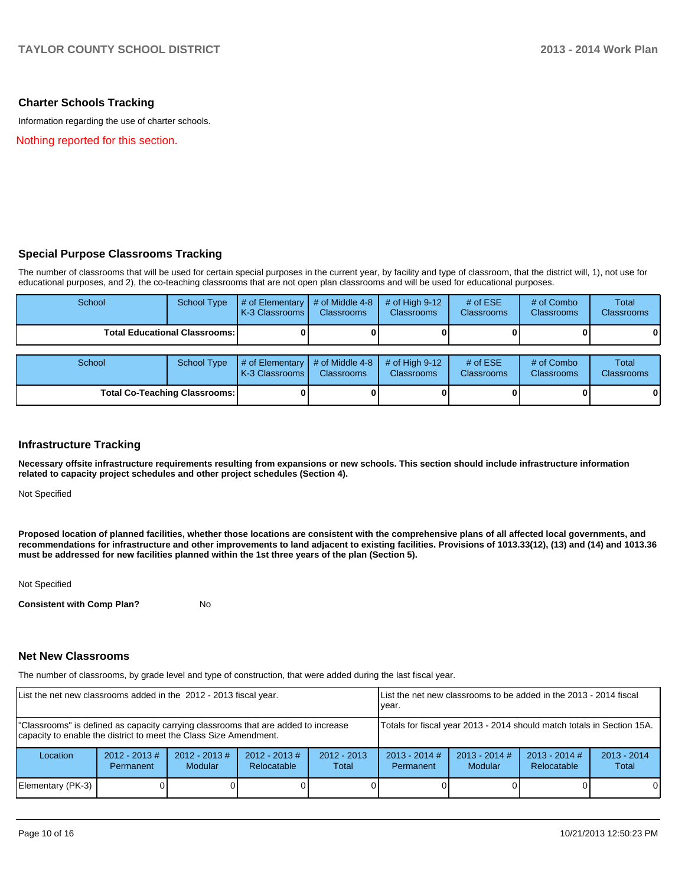### **Charter Schools Tracking**

Information regarding the use of charter schools.

Nothing reported for this section.

### **Special Purpose Classrooms Tracking**

The number of classrooms that will be used for certain special purposes in the current year, by facility and type of classroom, that the district will, 1), not use for educational purposes, and 2), the co-teaching classrooms that are not open plan classrooms and will be used for educational purposes.

| School                               | <b>School Type</b> | # of Elementary<br>K-3 Classrooms | # of Middle 4-8<br><b>Classrooms</b> | # of High $9-12$<br><b>Classrooms</b> | # of $ESE$<br>Classrooms | # of Combo<br><b>Classrooms</b> | <b>Total</b><br><b>Classrooms</b> |
|--------------------------------------|--------------------|-----------------------------------|--------------------------------------|---------------------------------------|--------------------------|---------------------------------|-----------------------------------|
| <b>Total Educational Classrooms:</b> |                    |                                   |                                      |                                       |                          | 0                               |                                   |
| School                               | School Type        | # of Elementary<br>K-3 Classrooms | # of Middle 4-8<br><b>Classrooms</b> | # of High $9-12$<br><b>Classrooms</b> | # of $ESE$<br>Classrooms | # of Combo<br><b>Classrooms</b> | Total<br><b>Classrooms</b>        |
| <b>Total Co-Teaching Classrooms:</b> |                    |                                   |                                      |                                       |                          | $\mathbf{0}$                    |                                   |

### **Infrastructure Tracking**

**Necessary offsite infrastructure requirements resulting from expansions or new schools. This section should include infrastructure information related to capacity project schedules and other project schedules (Section 4).**

Not Specified

**Proposed location of planned facilities, whether those locations are consistent with the comprehensive plans of all affected local governments, and recommendations for infrastructure and other improvements to land adjacent to existing facilities. Provisions of 1013.33(12), (13) and (14) and 1013.36 must be addressed for new facilities planned within the 1st three years of the plan (Section 5).**

Not Specified

**Consistent with Comp Plan?** No

#### **Net New Classrooms**

The number of classrooms, by grade level and type of construction, that were added during the last fiscal year.

| List the net new classrooms added in the 2012 - 2013 fiscal year.                                                                                       | List the net new classrooms to be added in the 2013 - 2014 fiscal<br>Ivear. |                             |                                |                        |                                                                                                                                      |  |  |          |
|---------------------------------------------------------------------------------------------------------------------------------------------------------|-----------------------------------------------------------------------------|-----------------------------|--------------------------------|------------------------|--------------------------------------------------------------------------------------------------------------------------------------|--|--|----------|
| "Classrooms" is defined as capacity carrying classrooms that are added to increase<br>capacity to enable the district to meet the Class Size Amendment. | Totals for fiscal year 2013 - 2014 should match totals in Section 15A.      |                             |                                |                        |                                                                                                                                      |  |  |          |
| Location                                                                                                                                                | $2012 - 2013$ #<br><b>Permanent</b>                                         | $2012 - 2013 \#$<br>Modular | $2012 - 2013$ #<br>Relocatable | $2012 - 2013$<br>Total | $2013 - 2014$ #<br>$2013 - 2014$ #<br>$2013 - 2014$ #<br>$2013 - 2014$<br>Relocatable<br><b>Modular</b><br><b>Permanent</b><br>Total |  |  |          |
| Elementary (PK-3)                                                                                                                                       |                                                                             |                             |                                |                        |                                                                                                                                      |  |  | $\Omega$ |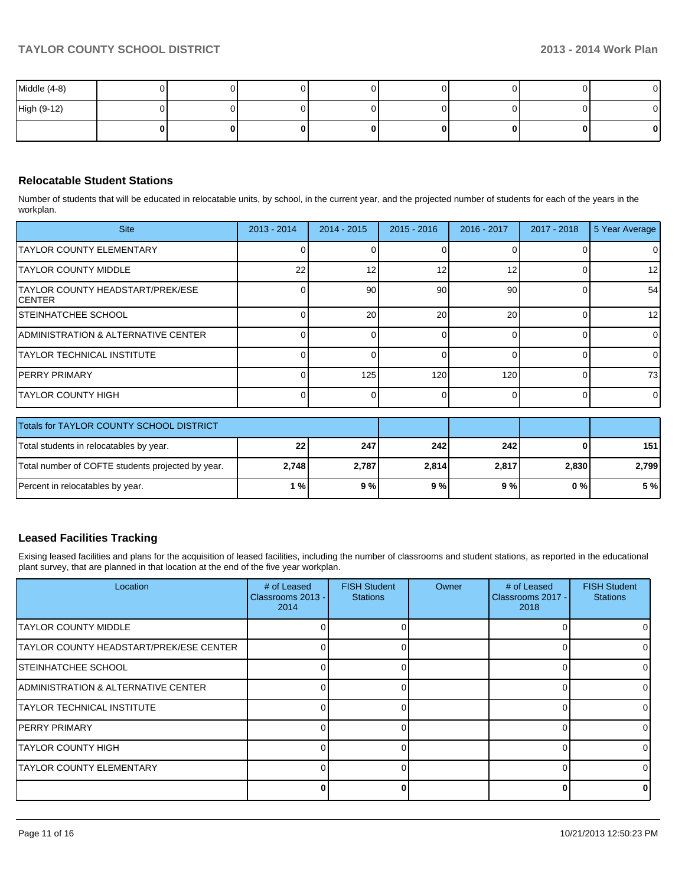| Middle (4-8) |  |  |  |    | $\mathbf{0}$ |
|--------------|--|--|--|----|--------------|
| High (9-12)  |  |  |  |    | $\mathbf{0}$ |
|              |  |  |  | ΩI | $\mathbf{0}$ |

## **Relocatable Student Stations**

Number of students that will be educated in relocatable units, by school, in the current year, and the projected number of students for each of the years in the workplan.

| <b>Site</b>                                 | $2013 - 2014$ | $2014 - 2015$ | $2015 - 2016$ | 2016 - 2017 | $2017 - 2018$ | 5 Year Average  |
|---------------------------------------------|---------------|---------------|---------------|-------------|---------------|-----------------|
| ITAYLOR COUNTY ELEMENTARY                   |               |               |               |             |               | 01              |
| ITAYLOR COUNTY MIDDLE                       | 22            |               |               |             |               | 12 <sub>l</sub> |
| TAYLOR COUNTY HEADSTART/PREK/ESE<br>ICENTER |               | 90            | 90            | 90          |               | 54              |
| <b>STEINHATCHEE SCHOOL</b>                  |               | 20            | 20            | 20          |               | 12 <sub>l</sub> |
| ADMINISTRATION & ALTERNATIVE CENTER         |               |               |               |             |               | $\overline{0}$  |
| ITAYLOR TECHNICAL INSTITUTE                 |               |               |               |             |               | $\Omega$        |
| IPERRY PRIMARY                              |               | 125           | 120           | 120         |               | 73              |
| ITAYLOR COUNTY HIGH                         |               |               |               |             |               | $\overline{0}$  |

| Totals for TAYLOR COUNTY SCHOOL DISTRICT          |                 |       |       |       |       |       |
|---------------------------------------------------|-----------------|-------|-------|-------|-------|-------|
| Total students in relocatables by year.           | 22 <sub>1</sub> | 247   | 242   | 242   |       | 151   |
| Total number of COFTE students projected by year. | 2,748           | 2,787 | 2,814 | 2,817 | 2.830 | 2.799 |
| Percent in relocatables by year.                  | 1%              | 9%    | 9%    | 9 % l | 0 % I | 5 %   |

## **Leased Facilities Tracking**

Exising leased facilities and plans for the acquisition of leased facilities, including the number of classrooms and student stations, as reported in the educational plant survey, that are planned in that location at the end of the five year workplan.

| Location                                | # of Leased<br>Classrooms 2013 -<br>2014 | <b>FISH Student</b><br><b>Stations</b> | Owner | # of Leased<br>Classrooms 2017 -<br>2018 | <b>FISH Student</b><br><b>Stations</b> |
|-----------------------------------------|------------------------------------------|----------------------------------------|-------|------------------------------------------|----------------------------------------|
| <b>ITAYLOR COUNTY MIDDLE</b>            |                                          |                                        |       |                                          |                                        |
| TAYLOR COUNTY HEADSTART/PREK/ESE CENTER |                                          |                                        |       |                                          |                                        |
| <b>STEINHATCHEE SCHOOL</b>              |                                          |                                        |       |                                          |                                        |
| IADMINISTRATION & ALTERNATIVE CENTER    |                                          |                                        |       | U                                        |                                        |
| <b>TAYLOR TECHNICAL INSTITUTE</b>       |                                          |                                        |       | 0                                        |                                        |
| <b>PERRY PRIMARY</b>                    |                                          |                                        |       |                                          |                                        |
| ITAYLOR COUNTY HIGH                     |                                          |                                        |       |                                          |                                        |
| <b>TAYLOR COUNTY ELEMENTARY</b>         |                                          |                                        |       | 0                                        |                                        |
|                                         |                                          |                                        |       | ŋ                                        |                                        |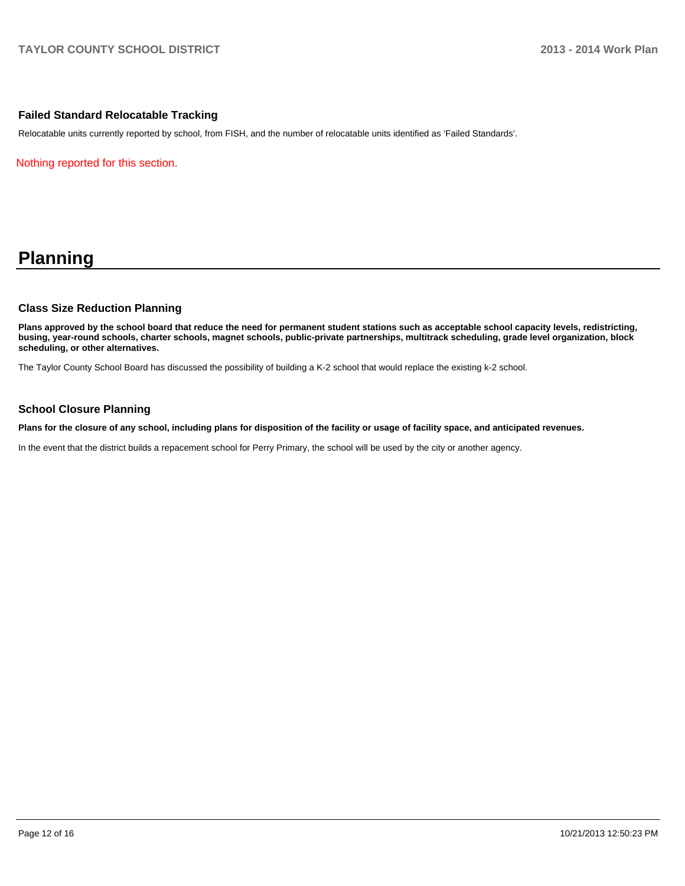### **Failed Standard Relocatable Tracking**

Relocatable units currently reported by school, from FISH, and the number of relocatable units identified as 'Failed Standards'.

Nothing reported for this section.

# **Planning**

### **Class Size Reduction Planning**

**Plans approved by the school board that reduce the need for permanent student stations such as acceptable school capacity levels, redistricting, busing, year-round schools, charter schools, magnet schools, public-private partnerships, multitrack scheduling, grade level organization, block scheduling, or other alternatives.**

The Taylor County School Board has discussed the possibility of building a K-2 school that would replace the existing k-2 school.

### **School Closure Planning**

**Plans for the closure of any school, including plans for disposition of the facility or usage of facility space, and anticipated revenues.**

In the event that the district builds a repacement school for Perry Primary, the school will be used by the city or another agency.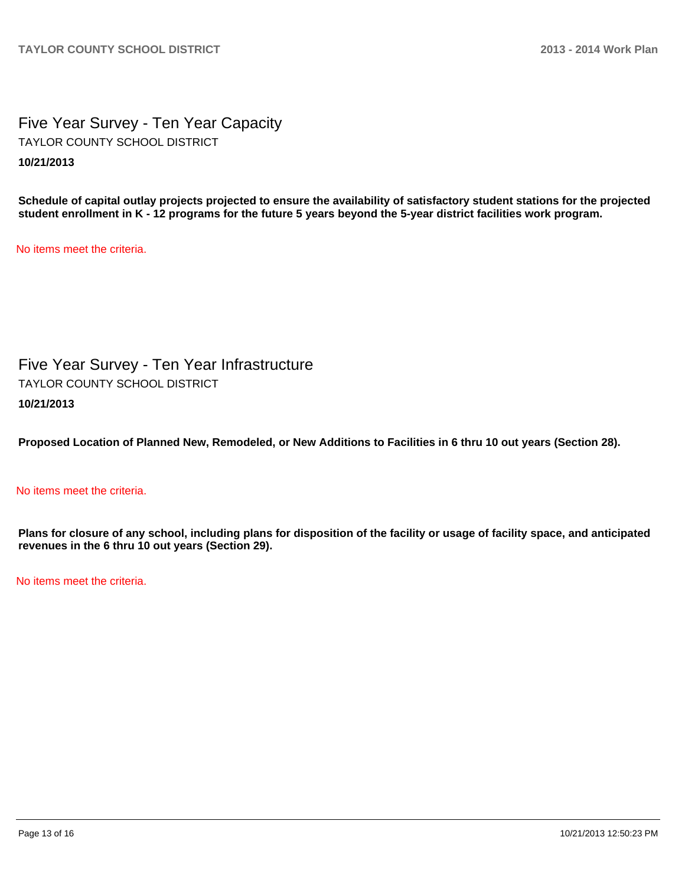Five Year Survey - Ten Year Capacity **10/21/2013** TAYLOR COUNTY SCHOOL DISTRICT

**Schedule of capital outlay projects projected to ensure the availability of satisfactory student stations for the projected student enrollment in K - 12 programs for the future 5 years beyond the 5-year district facilities work program.**

No items meet the criteria.

Five Year Survey - Ten Year Infrastructure **10/21/2013** TAYLOR COUNTY SCHOOL DISTRICT

**Proposed Location of Planned New, Remodeled, or New Additions to Facilities in 6 thru 10 out years (Section 28).**

No items meet the criteria.

**Plans for closure of any school, including plans for disposition of the facility or usage of facility space, and anticipated revenues in the 6 thru 10 out years (Section 29).**

No items meet the criteria.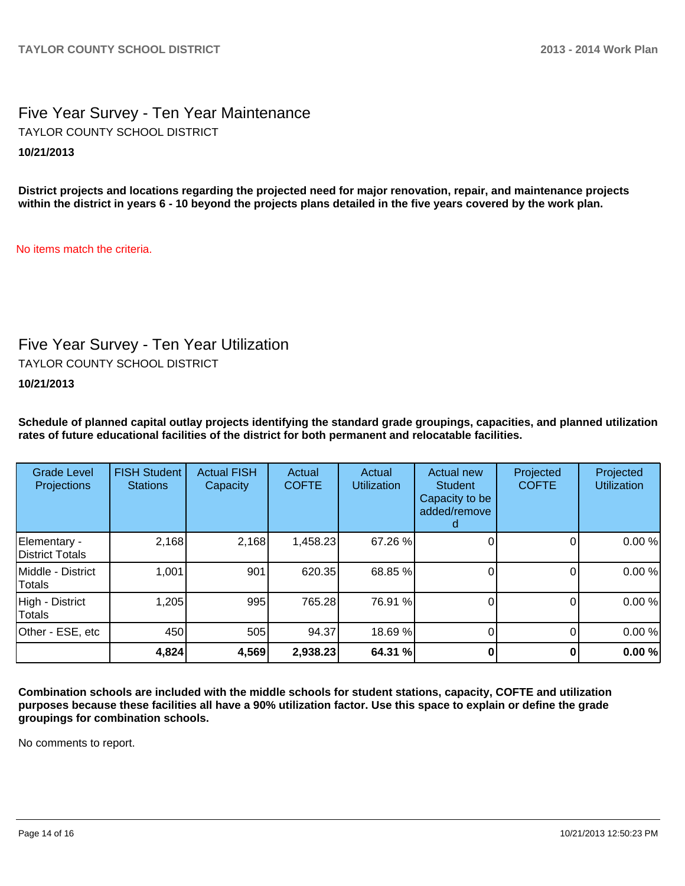# Five Year Survey - Ten Year Maintenance **10/21/2013** TAYLOR COUNTY SCHOOL DISTRICT

**District projects and locations regarding the projected need for major renovation, repair, and maintenance projects within the district in years 6 - 10 beyond the projects plans detailed in the five years covered by the work plan.**

No items match the criteria.

# Five Year Survey - Ten Year Utilization

TAYLOR COUNTY SCHOOL DISTRICT

**10/21/2013**

**Schedule of planned capital outlay projects identifying the standard grade groupings, capacities, and planned utilization rates of future educational facilities of the district for both permanent and relocatable facilities.**

| <b>Grade Level</b><br>Projections | <b>FISH Student</b><br><b>Stations</b> | <b>Actual FISH</b><br>Capacity | Actual<br><b>COFTE</b> | Actual<br><b>Utilization</b> | Actual new<br><b>Student</b><br>Capacity to be<br>added/remove | Projected<br><b>COFTE</b> | Projected<br><b>Utilization</b> |
|-----------------------------------|----------------------------------------|--------------------------------|------------------------|------------------------------|----------------------------------------------------------------|---------------------------|---------------------------------|
| Elementary -<br>District Totals   | 2,168                                  | 2,168                          | 1,458.23               | 67.26 %                      |                                                                |                           | 0.00%                           |
| IMiddle - District<br>Totals      | 1,001                                  | 901                            | 620.35                 | 68.85 %                      |                                                                |                           | 0.00%                           |
| High - District<br>Totals         | 1,205                                  | 995                            | 765.28                 | 76.91 %                      |                                                                | 0                         | 0.00%                           |
| Other - ESE, etc                  | 450                                    | 505                            | 94.37                  | 18.69 %                      |                                                                | 0                         | 0.00%                           |
|                                   | 4,824                                  | 4,569                          | 2,938.23               | 64.31 %                      |                                                                |                           | 0.00%                           |

**Combination schools are included with the middle schools for student stations, capacity, COFTE and utilization purposes because these facilities all have a 90% utilization factor. Use this space to explain or define the grade groupings for combination schools.**

No comments to report.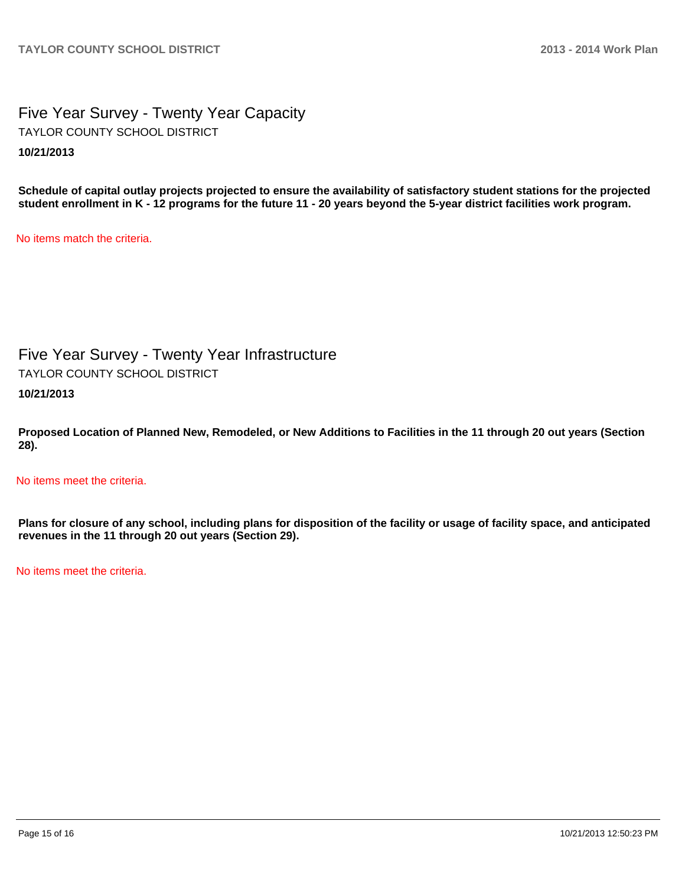Five Year Survey - Twenty Year Capacity **10/21/2013** TAYLOR COUNTY SCHOOL DISTRICT

**Schedule of capital outlay projects projected to ensure the availability of satisfactory student stations for the projected student enrollment in K - 12 programs for the future 11 - 20 years beyond the 5-year district facilities work program.**

No items match the criteria.

Five Year Survey - Twenty Year Infrastructure TAYLOR COUNTY SCHOOL DISTRICT

**10/21/2013**

**Proposed Location of Planned New, Remodeled, or New Additions to Facilities in the 11 through 20 out years (Section 28).**

No items meet the criteria.

**Plans for closure of any school, including plans for disposition of the facility or usage of facility space, and anticipated revenues in the 11 through 20 out years (Section 29).**

No items meet the criteria.